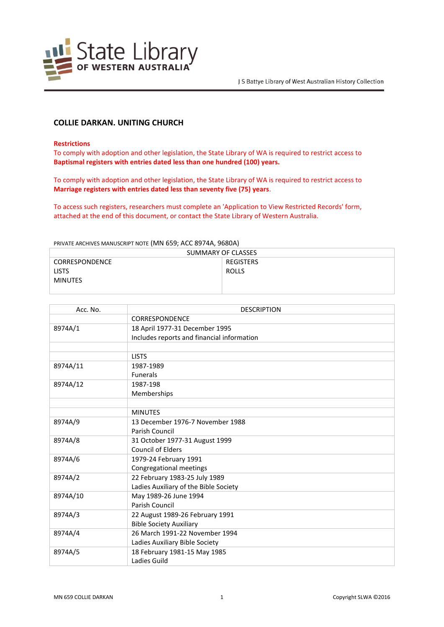

# **COLLIE DARKAN. UNITING CHURCH**

#### **Restrictions**

To comply with adoption and other legislation, the State Library of WA is required to restrict access to **Baptismal registers with entries dated less than one hundred (100) years.**

To comply with adoption and other legislation, the State Library of WA is required to restrict access to **Marriage registers with entries dated less than seventy five (75) years**.

To access such registers, researchers must complete an 'Application to View Restricted Records' form, attached at the end of this document, or contact the State Library of Western Australia.

PRIVATE ARCHIVES MANUSCRIPT NOTE (MN 659; ACC 8974A, 9680A)

| SUMMARY OF CLASSES    |              |  |
|-----------------------|--------------|--|
| <b>CORRESPONDENCE</b> | REGISTERS    |  |
| <b>LISTS</b>          | <b>ROLLS</b> |  |
| <b>MINUTES</b>        |              |  |
|                       |              |  |

| Acc. No. | <b>DESCRIPTION</b>                         |
|----------|--------------------------------------------|
|          | CORRESPONDENCE                             |
| 8974A/1  | 18 April 1977-31 December 1995             |
|          | Includes reports and financial information |
|          |                                            |
|          | <b>LISTS</b>                               |
| 8974A/11 | 1987-1989                                  |
|          | <b>Funerals</b>                            |
| 8974A/12 | 1987-198                                   |
|          | Memberships                                |
|          |                                            |
|          | <b>MINUTES</b>                             |
| 8974A/9  | 13 December 1976-7 November 1988           |
|          | Parish Council                             |
| 8974A/8  | 31 October 1977-31 August 1999             |
|          | <b>Council of Elders</b>                   |
| 8974A/6  | 1979-24 February 1991                      |
|          | Congregational meetings                    |
| 8974A/2  | 22 February 1983-25 July 1989              |
|          | Ladies Auxiliary of the Bible Society      |
| 8974A/10 | May 1989-26 June 1994                      |
|          | Parish Council                             |
| 8974A/3  | 22 August 1989-26 February 1991            |
|          | <b>Bible Society Auxiliary</b>             |
| 8974A/4  | 26 March 1991-22 November 1994             |
|          | Ladies Auxiliary Bible Society             |
| 8974A/5  | 18 February 1981-15 May 1985               |
|          | Ladies Guild                               |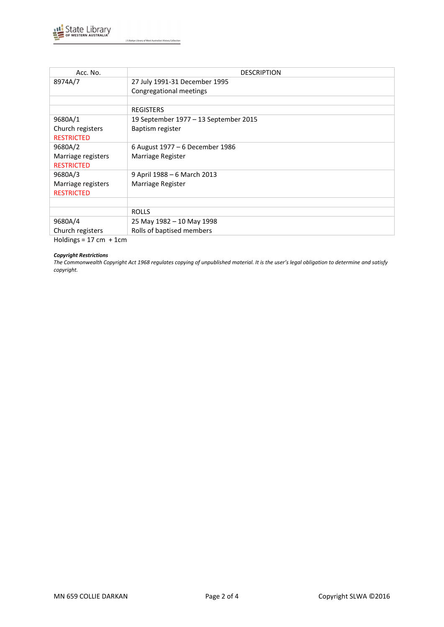

J S Battye Library of West Australian History Collection

| Acc. No.           | <b>DESCRIPTION</b>                    |
|--------------------|---------------------------------------|
| 8974A/7            | 27 July 1991-31 December 1995         |
|                    | Congregational meetings               |
|                    |                                       |
|                    | <b>REGISTERS</b>                      |
| 9680A/1            | 19 September 1977 – 13 September 2015 |
| Church registers   | Baptism register                      |
| <b>RESTRICTED</b>  |                                       |
| 9680A/2            | 6 August 1977 – 6 December 1986       |
| Marriage registers | Marriage Register                     |
| <b>RESTRICTED</b>  |                                       |
| 9680A/3            | 9 April 1988 – 6 March 2013           |
| Marriage registers | Marriage Register                     |
| <b>RESTRICTED</b>  |                                       |
|                    |                                       |
|                    | <b>ROLLS</b>                          |
| 9680A/4            | 25 May 1982 - 10 May 1998             |
| Church registers   | Rolls of baptised members             |

 $Holdings = 17 cm + 1 cm$ 

### *Copyright Restrictions*

*The Commonwealth Copyright Act 1968 regulates copying of unpublished material. It is the user's legal obligation to determine and satisfy copyright.*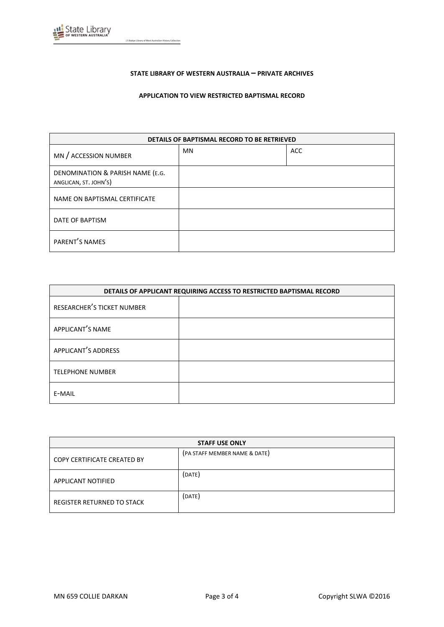

### **STATE LIBRARY OF WESTERN AUSTRALIA – PRIVATE ARCHIVES**

### **APPLICATION TO VIEW RESTRICTED BAPTISMAL RECORD**

| DETAILS OF BAPTISMAL RECORD TO BE RETRIEVED               |           |            |
|-----------------------------------------------------------|-----------|------------|
| MN / ACCESSION NUMBER                                     | <b>MN</b> | <b>ACC</b> |
| DENOMINATION & PARISH NAME (E.G.<br>ANGLICAN, ST. JOHN'S) |           |            |
| NAME ON BAPTISMAL CERTIFICATE                             |           |            |
| DATE OF BAPTISM                                           |           |            |
| PARENT'S NAMES                                            |           |            |

| DETAILS OF APPLICANT REQUIRING ACCESS TO RESTRICTED BAPTISMAL RECORD |  |
|----------------------------------------------------------------------|--|
| RESEARCHER'S TICKET NUMBER                                           |  |
| APPLICANT'S NAME                                                     |  |
| APPLICANT'S ADDRESS                                                  |  |
| <b>TELEPHONE NUMBER</b>                                              |  |
| E-MAIL                                                               |  |

| <b>STAFF USE ONLY</b>       |                               |
|-----------------------------|-------------------------------|
| COPY CERTIFICATE CREATED BY | (PA STAFF MEMBER NAME & DATE) |
| APPLICANT NOTIFIED          | (DATE)                        |
| REGISTER RETURNED TO STACK  | (DATE)                        |